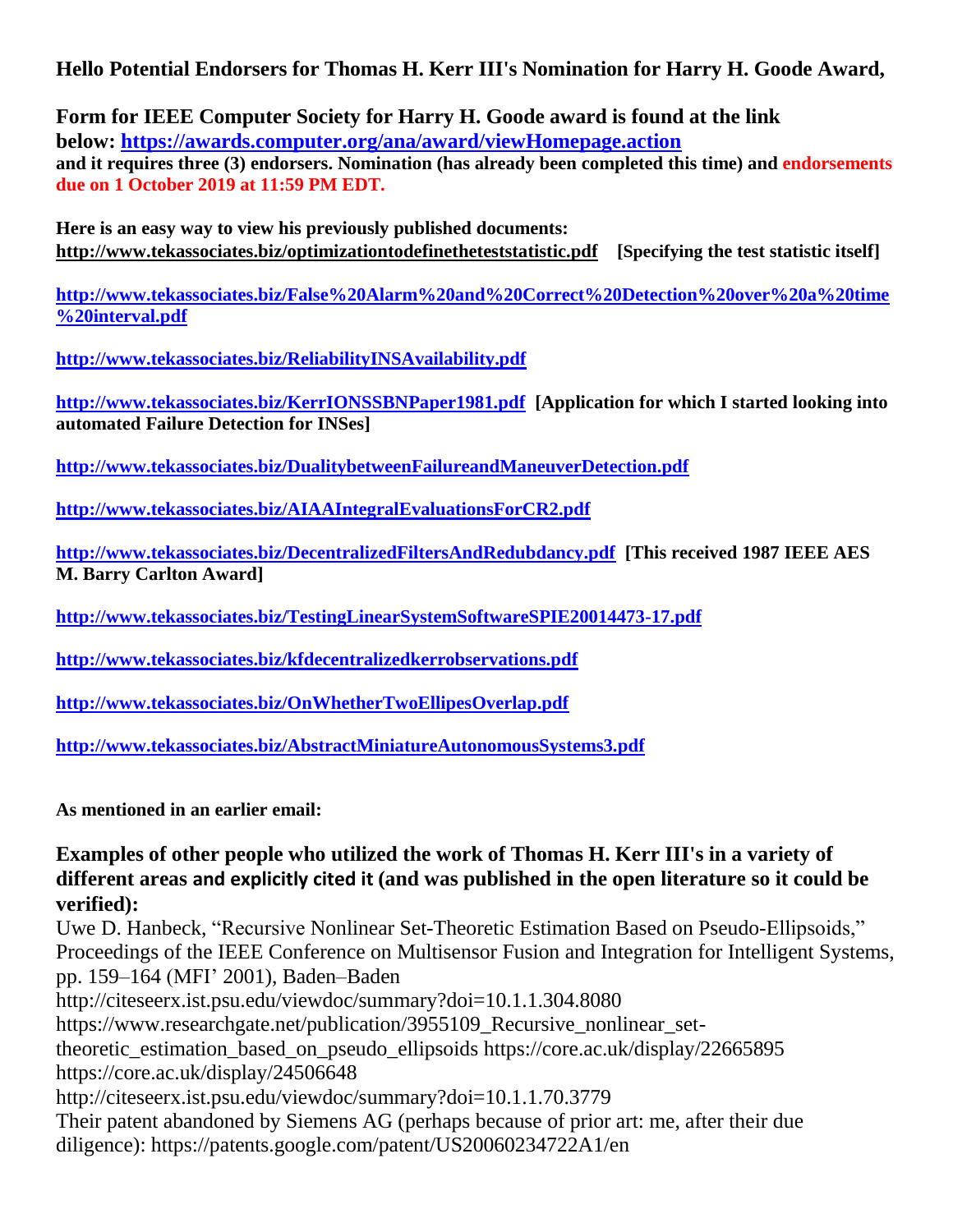## **Hello Potential Endorsers for Thomas H. Kerr III's Nomination for Harry H. Goode Award,**

**Form for IEEE Computer Society for Harry H. Goode award is found at the link below: [https://awards.computer.org/ana/award/viewHomepage.action](https://nam04.safelinks.protection.outlook.com/?url=https%3A%2F%2Fawards.computer.org%2Fana%2Faward%2FviewHomepage.action&data=02%7C01%7C%7C381b803538db4ca85e8208d74203a051%7C84df9e7fe9f640afb435aaaaaaaaaaaa%7C1%7C0%7C637050455654445245&sdata=bA97QKfT3W%2FsTVs9eUU0HgA94nHBnHI2la4nUwITIA0%3D&reserved=0) and it requires three (3) endorsers. Nomination (has already been completed this time) and endorsements due on 1 October 2019 at 11:59 PM EDT.**

**Here is an easy way to view his previously published documents: <http://www.tekassociates.biz/optimizationtodefinetheteststatistic.pdf> [Specifying the test statistic itself]** 

**[http://www.tekassociates.biz/False%20Alarm%20and%20Correct%20Detection%20over%20a%20time](https://nam04.safelinks.protection.outlook.com/?url=http%3A%2F%2Fwww.tekassociates.biz%2FFalse%2520Alarm%2520and%2520Correct%2520Detection%2520over%2520a%2520time%2520interval.pdf&data=02%7C01%7C%7C381b803538db4ca85e8208d74203a051%7C84df9e7fe9f640afb435aaaaaaaaaaaa%7C1%7C0%7C637050455654455250&sdata=smMk1BGsevj0w7FFxQkQBZAQr7J02qosVkeKxAgNy04%3D&reserved=0) [%20interval.pdf](https://nam04.safelinks.protection.outlook.com/?url=http%3A%2F%2Fwww.tekassociates.biz%2FFalse%2520Alarm%2520and%2520Correct%2520Detection%2520over%2520a%2520time%2520interval.pdf&data=02%7C01%7C%7C381b803538db4ca85e8208d74203a051%7C84df9e7fe9f640afb435aaaaaaaaaaaa%7C1%7C0%7C637050455654455250&sdata=smMk1BGsevj0w7FFxQkQBZAQr7J02qosVkeKxAgNy04%3D&reserved=0)**

**[http://www.tekassociates.biz/ReliabilityINSAvailability.pdf](https://nam04.safelinks.protection.outlook.com/?url=http%3A%2F%2Fwww.tekassociates.biz%2FReliabilityINSAvailability.pdf&data=02%7C01%7C%7C381b803538db4ca85e8208d74203a051%7C84df9e7fe9f640afb435aaaaaaaaaaaa%7C1%7C0%7C637050455654465261&sdata=cWyhOYqg3J6ToBU1OkRSeU12ymAPqJxxNjQllgLiPh4%3D&reserved=0)**

**[http://www.tekassociates.biz/KerrIONSSBNPaper1981.pdf](https://nam04.safelinks.protection.outlook.com/?url=http%3A%2F%2Fwww.tekassociates.biz%2FKerrIONSSBNPaper1981.pdf&data=02%7C01%7C%7C381b803538db4ca85e8208d74203a051%7C84df9e7fe9f640afb435aaaaaaaaaaaa%7C1%7C0%7C637050455654475272&sdata=SdL7DhlfIkE4p8%2BtShcwEGE%2B1EGiba7xOYkSfm9kDYc%3D&reserved=0) [Application for which I started looking into automated Failure Detection for INSes]**

**[http://www.tekassociates.biz/DualitybetweenFailureandManeuverDetection.pdf](https://nam04.safelinks.protection.outlook.com/?url=http%3A%2F%2Fwww.tekassociates.biz%2FDualitybetweenFailureandManeuverDetection.pdf&data=02%7C01%7C%7C381b803538db4ca85e8208d74203a051%7C84df9e7fe9f640afb435aaaaaaaaaaaa%7C1%7C0%7C637050455654485271&sdata=Kza%2BxJ5%2BBxHgyS1a5y8MjM0ChVIa5yxzpVPGCUN1bE8%3D&reserved=0)**

**[http://www.tekassociates.biz/AIAAIntegralEvaluationsForCR2.pdf](https://nam04.safelinks.protection.outlook.com/?url=http%3A%2F%2Fwww.tekassociates.biz%2FAIAAIntegralEvaluationsForCR2.pdf&data=02%7C01%7C%7C381b803538db4ca85e8208d74203a051%7C84df9e7fe9f640afb435aaaaaaaaaaaa%7C1%7C0%7C637050455654495282&sdata=NwGfds0j7RTBMYe6Zdy%2FhMrASb6hLmC9mynx004Zxpw%3D&reserved=0)**

**[http://www.tekassociates.biz/DecentralizedFiltersAndRedubdancy.pdf](https://nam04.safelinks.protection.outlook.com/?url=http%3A%2F%2Fwww.tekassociates.biz%2FDecentralizedFiltersAndRedubdancy.pdf&data=02%7C01%7C%7C381b803538db4ca85e8208d74203a051%7C84df9e7fe9f640afb435aaaaaaaaaaaa%7C1%7C0%7C637050455654505293&sdata=9lO3wBhb293HJncVC5RwmTgOGTs9xXO8g5ieUveEwI8%3D&reserved=0) [This received 1987 IEEE AES M. Barry Carlton Award]**

**[http://www.tekassociates.biz/TestingLinearSystemSoftwareSPIE20014473-17.pdf](https://nam04.safelinks.protection.outlook.com/?url=http%3A%2F%2Fwww.tekassociates.biz%2FTestingLinearSystemSoftwareSPIE20014473-17.pdf&data=02%7C01%7C%7C381b803538db4ca85e8208d74203a051%7C84df9e7fe9f640afb435aaaaaaaaaaaa%7C1%7C0%7C637050455654515304&sdata=xpHjxRok8%2FeoUm1lPYr9otfR%2FUel2sRhKZI8tf4vpew%3D&reserved=0)**

**[http://www.tekassociates.biz/kfdecentralizedkerrobservations.pdf](https://nam04.safelinks.protection.outlook.com/?url=http%3A%2F%2Fwww.tekassociates.biz%2Fkfdecentralizedkerrobservations.pdf&data=02%7C01%7C%7C381b803538db4ca85e8208d74203a051%7C84df9e7fe9f640afb435aaaaaaaaaaaa%7C1%7C0%7C637050455654525309&sdata=3tU3dqT%2BIW%2FpxdtoRVKgYKvrSKnOQmCqRIJ0y1Z8wz4%3D&reserved=0)**

**[http://www.tekassociates.biz/OnWhetherTwoEllipesOverlap.pdf](https://nam04.safelinks.protection.outlook.com/?url=http%3A%2F%2Fwww.tekassociates.biz%2FOnWhetherTwoEllipesOverlap.pdf&data=02%7C01%7C%7C381b803538db4ca85e8208d74203a051%7C84df9e7fe9f640afb435aaaaaaaaaaaa%7C1%7C0%7C637050455654525309&sdata=ldANBH%2BQon2lMwNQr2IBI6tcy8%2FiETkZ%2BqH8dExyCs4%3D&reserved=0)**

**[http://www.tekassociates.biz/AbstractMiniatureAutonomousSystems3.pdf](https://nam04.safelinks.protection.outlook.com/?url=http%3A%2F%2Fwww.tekassociates.biz%2FAbstractMiniatureAutonomousSystems3.pdf&data=02%7C01%7C%7C381b803538db4ca85e8208d74203a051%7C84df9e7fe9f640afb435aaaaaaaaaaaa%7C1%7C0%7C637050455654535320&sdata=6dwvvC6q%2F9yBHlweHzObCFGeZ%2BAbXd5p14v0j6%2BkHcA%3D&reserved=0)**

**As mentioned in an earlier email:**

**Examples of other people who utilized the work of Thomas H. Kerr III's in a variety of different areas and explicitly cited it (and was published in the open literature so it could be verified):**

Uwe D. Hanbeck, "Recursive Nonlinear Set-Theoretic Estimation Based on Pseudo-Ellipsoids," Proceedings of the IEEE Conference on Multisensor Fusion and Integration for Intelligent Systems, pp. 159–164 (MFI' 2001), Baden–Baden http://citeseerx.ist.psu.edu/viewdoc/summary?doi=10.1.1.304.8080 https://www.researchgate.net/publication/3955109\_Recursive\_nonlinear\_settheoretic\_estimation\_based\_on\_pseudo\_ellipsoids https://core.ac.uk/display/22665895 https://core.ac.uk/display/24506648 http://citeseerx.ist.psu.edu/viewdoc/summary?doi=10.1.1.70.3779

Their patent abandoned by Siemens AG (perhaps because of prior art: me, after their due diligence): https://patents.google.com/patent/US20060234722A1/en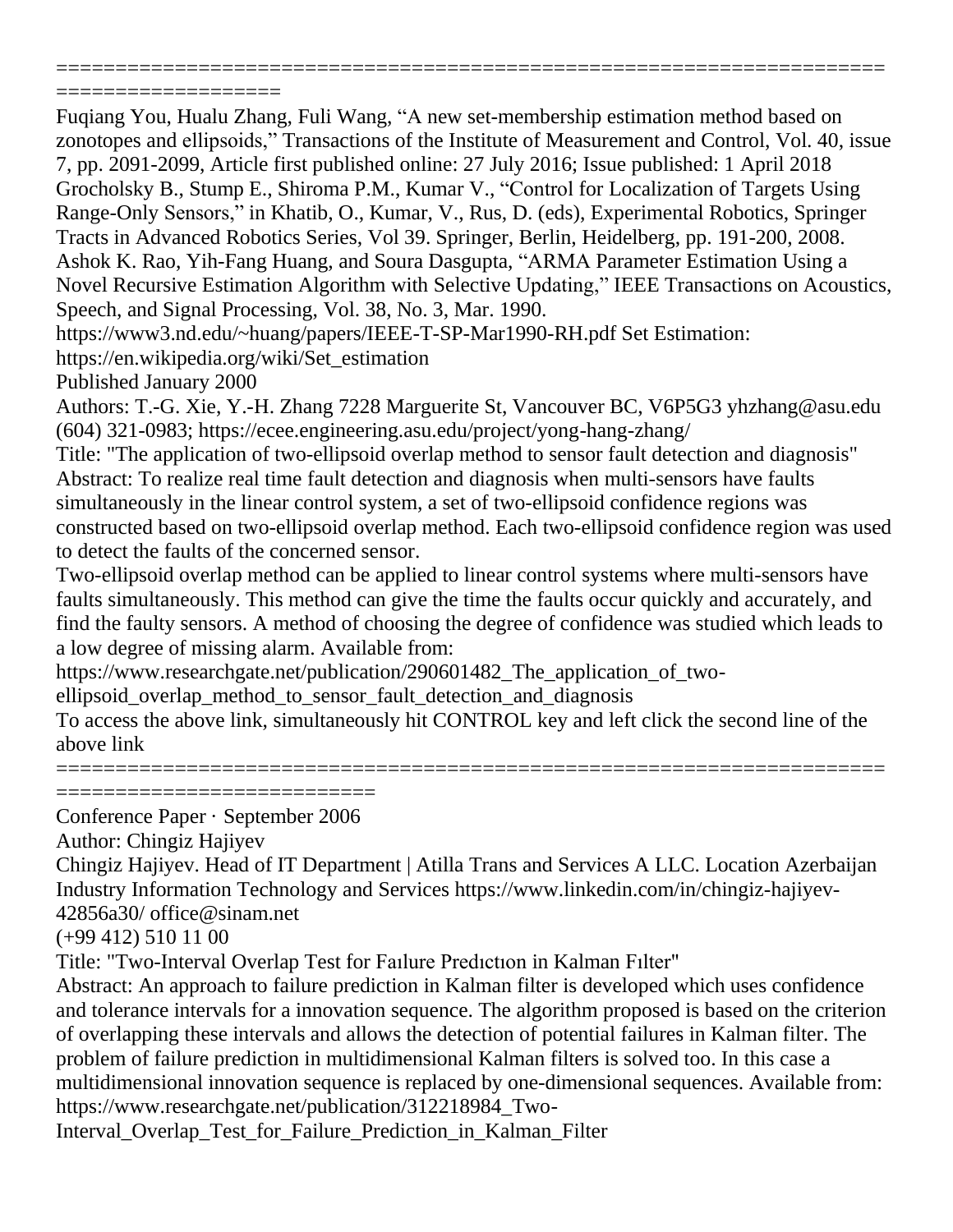===================

Fuqiang You, Hualu Zhang, Fuli Wang, "A new set-membership estimation method based on zonotopes and ellipsoids," Transactions of the Institute of Measurement and Control, Vol. 40, issue 7, pp. 2091-2099, Article first published online: 27 July 2016; Issue published: 1 April 2018 Grocholsky B., Stump E., Shiroma P.M., Kumar V., "Control for Localization of Targets Using Range-Only Sensors," in Khatib, O., Kumar, V., Rus, D. (eds), Experimental Robotics, Springer Tracts in Advanced Robotics Series, Vol 39. Springer, Berlin, Heidelberg, pp. 191-200, 2008. Ashok K. Rao, Yih-Fang Huang, and Soura Dasgupta, "ARMA Parameter Estimation Using a Novel Recursive Estimation Algorithm with Selective Updating," IEEE Transactions on Acoustics, Speech, and Signal Processing, Vol. 38, No. 3, Mar. 1990.

======================================================================

https://www3.nd.edu/~huang/papers/IEEE-T-SP-Mar1990-RH.pdf Set Estimation:

https://en.wikipedia.org/wiki/Set\_estimation

Published January 2000

Authors: T.-G. Xie, Y.-H. Zhang 7228 Marguerite St, Vancouver BC, V6P5G3 yhzhang@asu.edu (604) 321-0983; https://ecee.engineering.asu.edu/project/yong-hang-zhang/

Title: "The application of two-ellipsoid overlap method to sensor fault detection and diagnosis" Abstract: To realize real time fault detection and diagnosis when multi-sensors have faults simultaneously in the linear control system, a set of two-ellipsoid confidence regions was constructed based on two-ellipsoid overlap method. Each two-ellipsoid confidence region was used to detect the faults of the concerned sensor.

Two-ellipsoid overlap method can be applied to linear control systems where multi-sensors have faults simultaneously. This method can give the time the faults occur quickly and accurately, and find the faulty sensors. A method of choosing the degree of confidence was studied which leads to a low degree of missing alarm. Available from:

https://www.researchgate.net/publication/290601482\_The\_application\_of\_two-

ellipsoid\_overlap\_method\_to\_sensor\_fault\_detection\_and\_diagnosis

To access the above link, simultaneously hit CONTROL key and left click the second line of the above link

====================================================================== ============================

Conference Paper · September 2006

Author: Chingiz Hajiyev

Chingiz Hajiyev. Head of IT Department | Atilla Trans and Services A LLC. Location Azerbaijan Industry Information Technology and Services https://www.linkedin.com/in/chingiz-hajiyev-42856a30/ office@sinam.net

(+99 412) 510 11 00

Title: "Two-Interval Overlap Test for Faılure Predıctıon in Kalman Fılter"

Abstract: An approach to failure prediction in Kalman filter is developed which uses confidence and tolerance intervals for a innovation sequence. The algorithm proposed is based on the criterion of overlapping these intervals and allows the detection of potential failures in Kalman filter. The problem of failure prediction in multidimensional Kalman filters is solved too. In this case a multidimensional innovation sequence is replaced by one-dimensional sequences. Available from: https://www.researchgate.net/publication/312218984\_Two-

Interval\_Overlap\_Test\_for\_Failure\_Prediction\_in\_Kalman\_Filter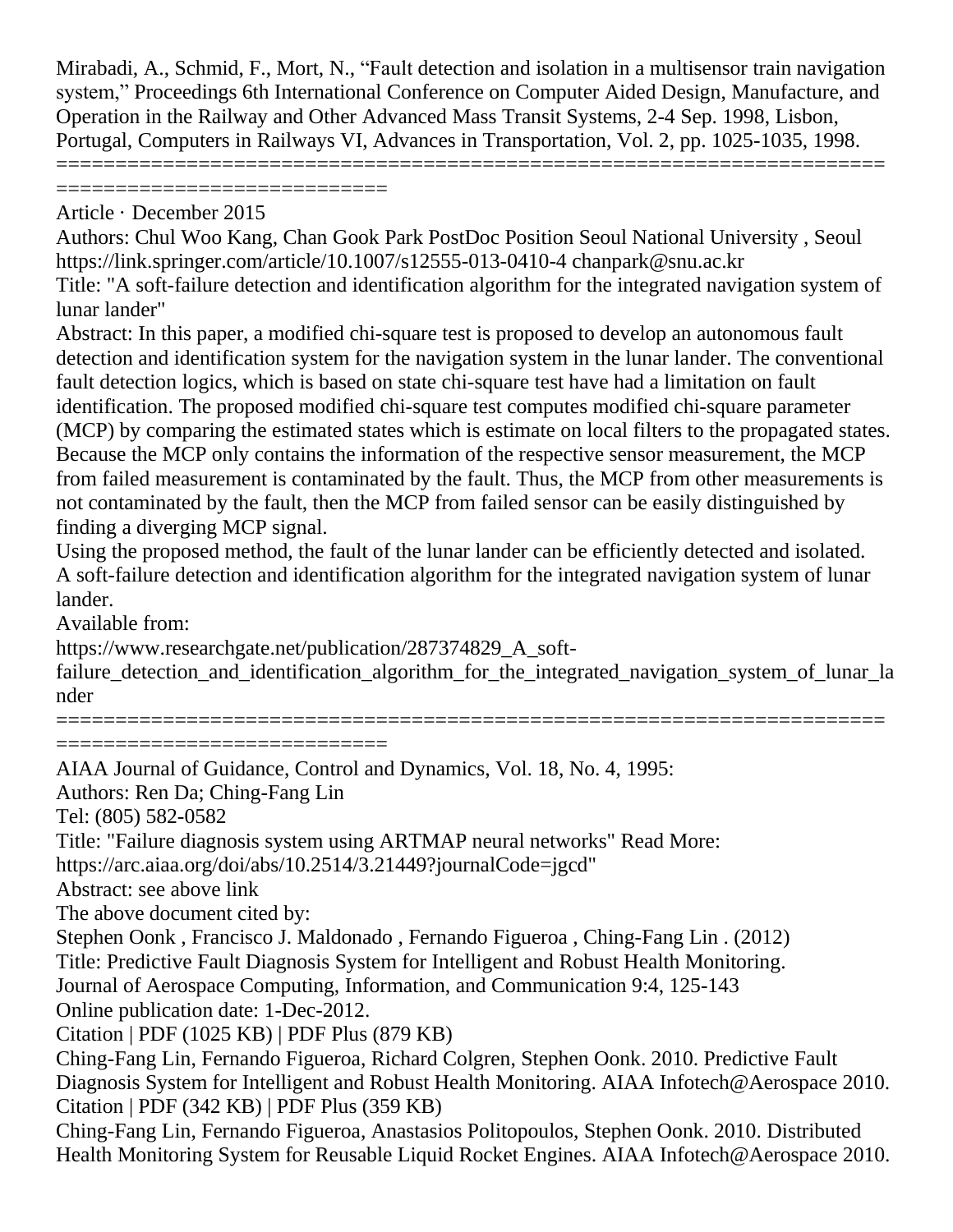Mirabadi, A., Schmid, F., Mort, N., "Fault detection and isolation in a multisensor train navigation system," Proceedings 6th International Conference on Computer Aided Design, Manufacture, and Operation in the Railway and Other Advanced Mass Transit Systems, 2-4 Sep. 1998, Lisbon, Portugal, Computers in Railways VI, Advances in Transportation, Vol. 2, pp. 1025-1035, 1998.

======================================================================

=============================

Article · December 2015

Authors: Chul Woo Kang, Chan Gook Park PostDoc Position Seoul National University , Seoul https://link.springer.com/article/10.1007/s12555-013-0410-4 chanpark@snu.ac.kr Title: "A soft-failure detection and identification algorithm for the integrated navigation system of lunar lander"

Abstract: In this paper, a modified chi-square test is proposed to develop an autonomous fault detection and identification system for the navigation system in the lunar lander. The conventional fault detection logics, which is based on state chi-square test have had a limitation on fault identification. The proposed modified chi-square test computes modified chi-square parameter (MCP) by comparing the estimated states which is estimate on local filters to the propagated states. Because the MCP only contains the information of the respective sensor measurement, the MCP from failed measurement is contaminated by the fault. Thus, the MCP from other measurements is not contaminated by the fault, then the MCP from failed sensor can be easily distinguished by finding a diverging MCP signal.

Using the proposed method, the fault of the lunar lander can be efficiently detected and isolated. A soft-failure detection and identification algorithm for the integrated navigation system of lunar lander.

Available from:

https://www.researchgate.net/publication/287374829 A soft-

failure detection and identification algorithm for the integrated navigation system of lunar la nder

======================================================================

=============================

AIAA Journal of Guidance, Control and Dynamics, Vol. 18, No. 4, 1995: Authors: Ren Da; Ching-Fang Lin Tel: (805) 582-0582 Title: "Failure diagnosis system using ARTMAP neural networks" Read More: https://arc.aiaa.org/doi/abs/10.2514/3.21449?journalCode=jgcd" Abstract: see above link The above document cited by: Stephen Oonk , Francisco J. Maldonado , Fernando Figueroa , Ching-Fang Lin . (2012) Title: Predictive Fault Diagnosis System for Intelligent and Robust Health Monitoring. Journal of Aerospace Computing, Information, and Communication 9:4, 125-143 Online publication date: 1-Dec-2012. Citation | PDF (1025 KB) | PDF Plus (879 KB) Ching-Fang Lin, Fernando Figueroa, Richard Colgren, Stephen Oonk. 2010. Predictive Fault Diagnosis System for Intelligent and Robust Health Monitoring. AIAA Infotech@Aerospace 2010. Citation | PDF (342 KB) | PDF Plus (359 KB) Ching-Fang Lin, Fernando Figueroa, Anastasios Politopoulos, Stephen Oonk. 2010. Distributed Health Monitoring System for Reusable Liquid Rocket Engines. AIAA Infotech@Aerospace 2010.